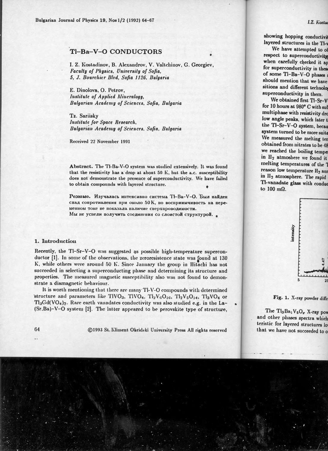## TI-Ba-V-O CONDUCTORS

I. Z. Kostadinov, B. Alexandrov, V. Valtchinov, G. Georgiev, Faculty of Physics. University of Sofia. 5. J. Bourchier Blvd. Sofia 1126. Bulgaria

E. Dinolova, O. Petrov. Institute of Applied Mineralogu. Bulgarian Academy of Sciences, Sofia, Bulgaria

Tz. Sariisky Institute for Space Research. Bulgarian Academy of Sciences, Sofia, Bulgaria

Received 22 November 1991

Abstract. The TI-Ba-V-O system was studied extensively. It was found that the resistivity has a drop at about 50 K, but the a.c. susceptibility does not demonstrate the presence of superconductivity. We have failed to obtain compounds with layered structure.

Резюме. Изучалась интенсивно система ТІ-Ва-V-О. Был найден спад сопротивления при около 50 К, но восприимчивость на переменном токе не показала паличие сверхпроводимости.

Мы не успели получить соединения со слоистой структурой.

## 1. Introduction

Recently, the Tl-Sr-V-O was suggested as possible high-temperature superconductor [1]. In some of the observations, the zeroresistence state was found at 130 K, while others were around 50 K. Since January the group in Hitachi has not succeeded in selecting a superconducting phase and determining its structure and properties. The measured magnetic susceptibility also was not found to demonstrate a diamagnetic behaviour.

It is worth mentioning that there are many Tl-V-O compounds with determined structure and parameters like TIVO<sub>3</sub>, TIVO<sub>4</sub>, Tl<sub>2</sub>V<sub>6</sub>O<sub>16</sub>, Tl<sub>2</sub>V<sub>5</sub>O<sub>14</sub>, Tl<sub>3</sub>VO<sub>4</sub> or Tl<sub>3</sub>Gd(VO<sub>4</sub>)<sub>2</sub>. Rare earth vanadates conductivity was also studied e.g. in the La-(Sr,Ba)-V-O system [2]. The latter appeared to be perovskite type of structure,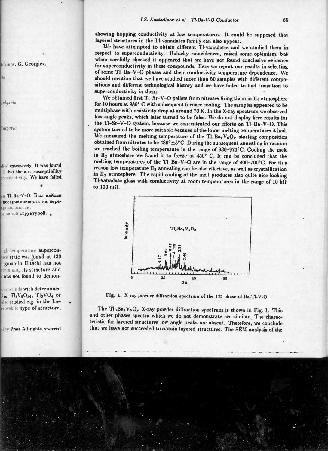showing hopping conductivity at low temperatures. It could be supposed that layered structures in the Tl-vanadates family can also appear.

We have attempted to obtain different Tl-vanadates and we studied them in respect to superconductivity. Unlucky coincidences, raised some optimism, bat when carefully cliecked it appeared that we have not found conclusive evidence for superconductivity in these compounds. Here we report our results in selecting of some Tl-Ba-V-0 phases and their conductivity temperature dependence. We should mention that we have studied more than 50 samples with different compositions and different technological history and we have failed to find transition to superconductivity in them.

We obtained first Tl-Sr-V-O pellets from nitrates firing them in  $H_2$  atmosphere for 10 hours at 980° C with subsequent furnace cooling. The samples appeared to be multiphase with resistivity drop at around 70 K. In the X-ray spectrum we observed low angle peaks, which later turned to be false. We do not display here results for the Tl-Sr-V-O system. because we concentrated our efforts on Tl-Ba-V-O. This system turned to be more suitable because of the lower melting temperatures it had. We measured the melting temperature of the Tl<sub>1</sub>Ba<sub>1</sub>V<sub>6</sub>O<sub>x</sub> starting composition obtained from nitrates to be  $489^{\circ} \pm 5^{\circ}$ C. During the subsequent annealing in vacuum we reached the boiling temperature in the range of 930-970°C. Cooling the melt in  $II_2$  atmoshere we found it to freeze at 450° C. It can be concluded that the melting temperatures of the Tl-Ba-V-O are in the range of 400-700°C. For this reason low temperature  $H_2$  annealing can be also effective, as well as crystallization in II<sub>2</sub> atmosphere. The rapid cooling of the melt produces also quite nice looking Tl-vanadate glass with conductivity at room temperatures in the range of 10 k $\Omega$ to 100  $m\Omega$ .



Fig. 1. X-ray powder diffraction spectrum of the 135 phase of Ba-Tl-V-O

The Tl<sub>3</sub>Ba<sub>1</sub> V<sub>5</sub>O<sub>x</sub> X-ray powder diffraction spectrum is shown in Fig. 1. This and other phases spectra which we do not demonstrate are similar. The characteristic for layered structures low angle peaks are absent. Therefore, we conclude that we have not succeeded to obtain layered structures. The SEM analysis of the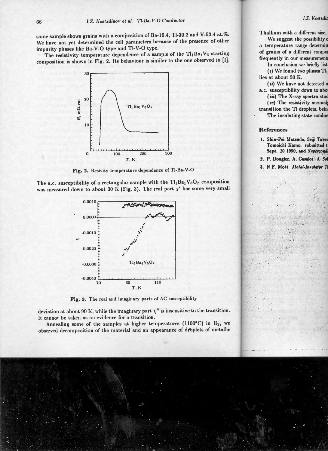same sample shows grains with a composition of Ba-16.4, Tl-30.2 and V-53.4 at.%. We have not yet determined the cell parameters because of the presence of other impurity phases like Ba-V-O type and Tl-V-O type.

The resistivity temperature dependence of a sample of the  $Tl_1Ba_1V_6$  starting composition is shown in Fig. 2. Its behaviour is similar to the one observed in [1].



Fig. 2. Resivity temperature dependence of Tl-Ba-V-O

The a.c. susceptibility of a rectangular sample with the  $Tl_1Ba_1V_6O_x$  composition was measured down to about 30 K (Fig. 3). The real part  $\chi'$  has some very small



Fig. 3. The real and imaginary parts of AC susceptibility

deviation at about 90 K, while the imaginary part  $\chi''$  is insensitive to the transition. It cannot be taken as an evidence for a transition.

Annealing some of the samples at higher temperatures (1100°C) in H<sub>2</sub>, we observed decomposition of the material and an appearance of droplets of metallic